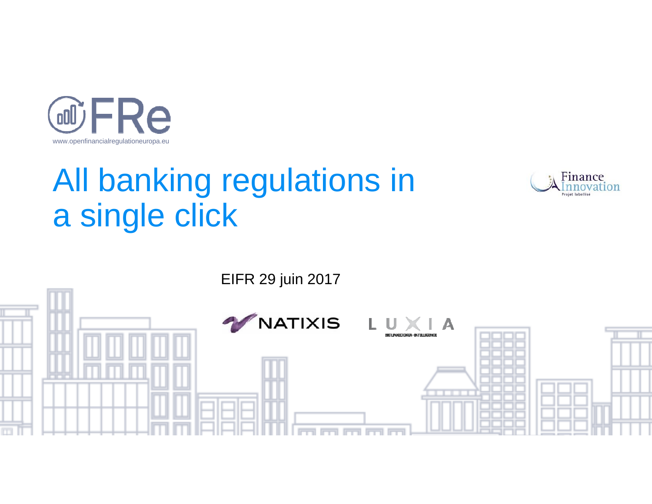

# All banking regulations in a single click



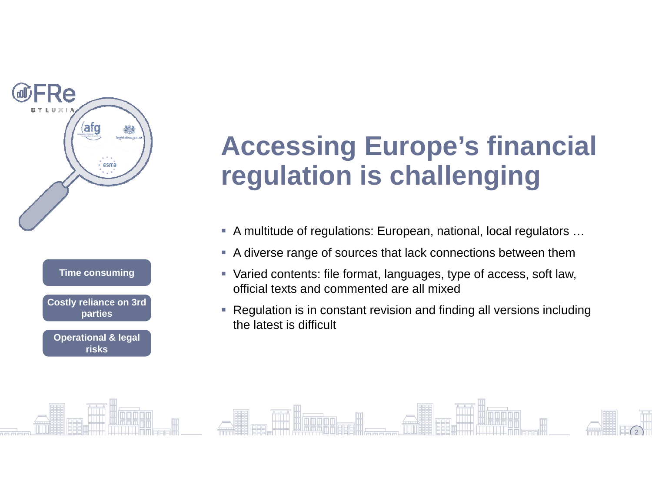

## **Accessing Europe's financial regulation is challenging**

- A multitude of regulations: European, national, local regulators ...
- A diverse range of sources that lack connections between them
- Varied contents: file format, languages, type of access, soft law, official texts and commented are all mixed
- Regulation is in constant revision and finding all versions including the latest is difficult

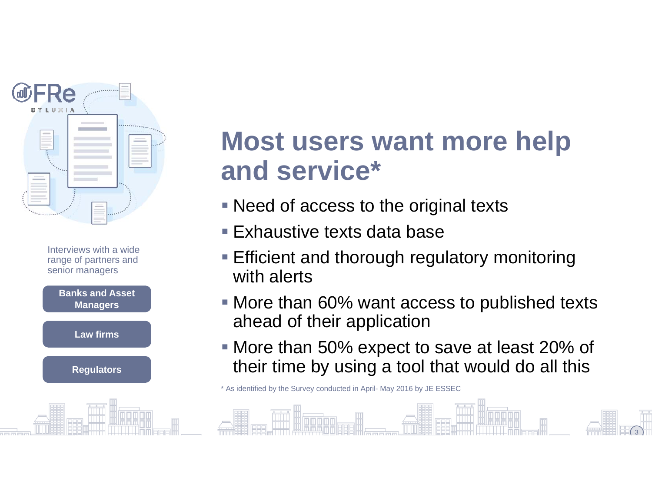



### **Most users want more help and service\***

- Need of access to the original texts
- Exhaustive texts data base
- **Efficient and thorough regulatory monitoring** with alerts
- More than 60% want access to published texts ahead of their application
- More than 50% expect to save at least 20% of their time by using a tool that would do all this

3

\* As identified by the Survey conducted in April- May 2016 by JE ESSEC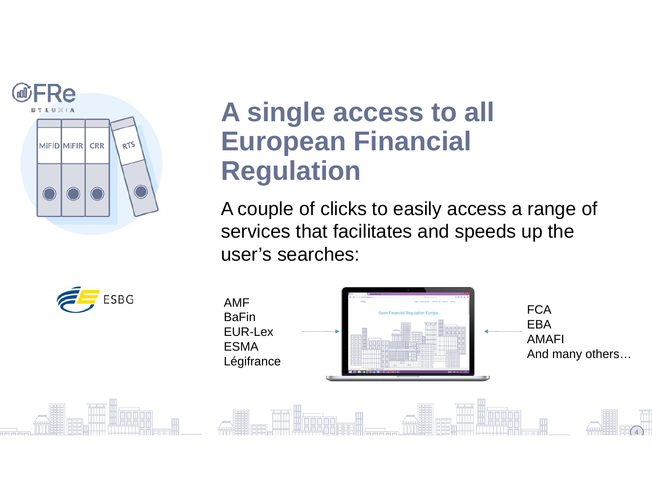

### **A single access to all European Financial Regulation**

A couple of clicks to easily access a range of services that facilitates and speeds up the user's searches:

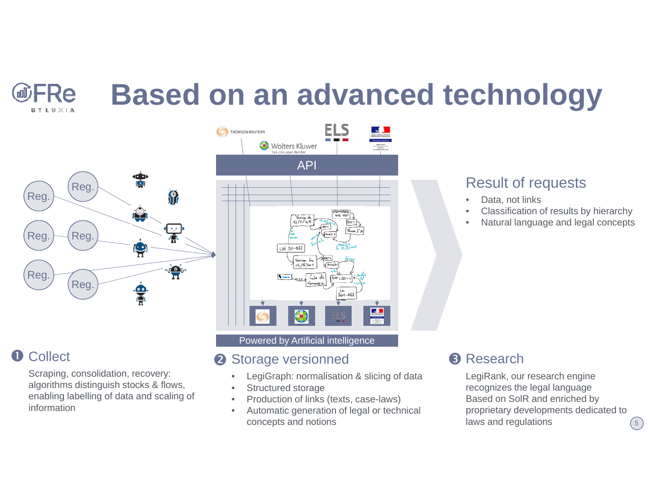# **Based on an advanced technology**





FRe

**BYLUXIA** 

Scraping, consolidation, recovery: algorithms distinguish stocks & flows, enabling labelling of data and scaling of information



#### Powered by Artificial intelligence

#### 2 Storage versionned

- •LegiGraph: normalisation & slicing of data
- •Structured storage
- •Production of links (texts, case-laws)
- • Automatic generation of legal or technical concepts and notions

### Result of requests

- •Data, not links
- •Classification of results by hierarchy
- •Natural language and legal concepts

### **8** Research

LegiRank, our research engine recognizes the legal language Based on SolR and enriched by proprietary developments dedicated to laws and regulations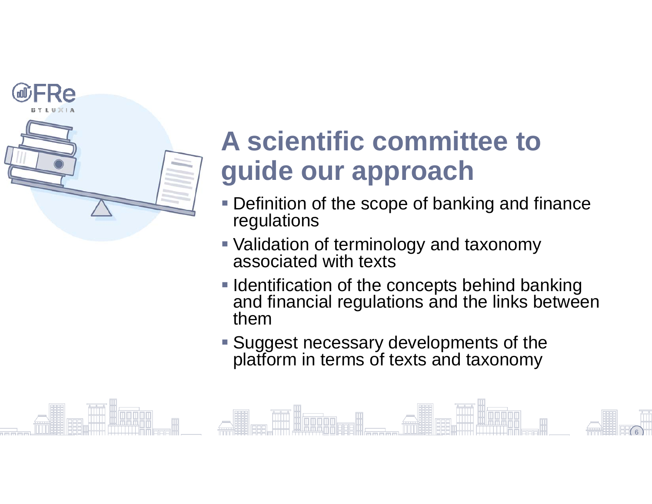

# **A scientific committee to guide our approach**

- **Definition of the scope of banking and finance** regulations
- Validation of terminology and taxonomy associated with texts
- **I** Identification of the concepts behind banking and financial regulations and the links between them

6

**Suggest necessary developments of the** platform in terms of texts and taxonomy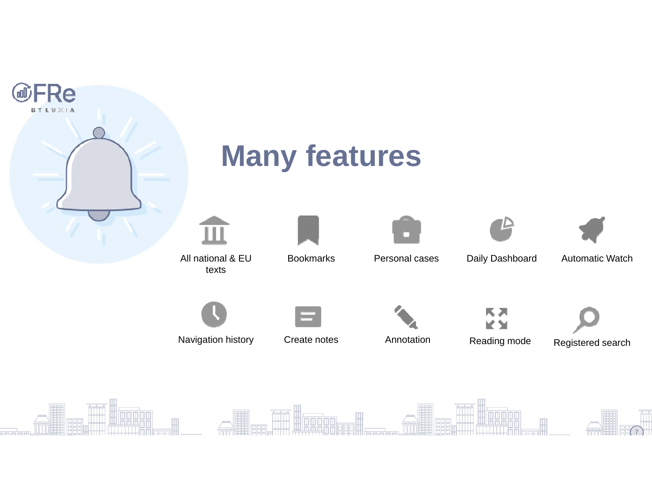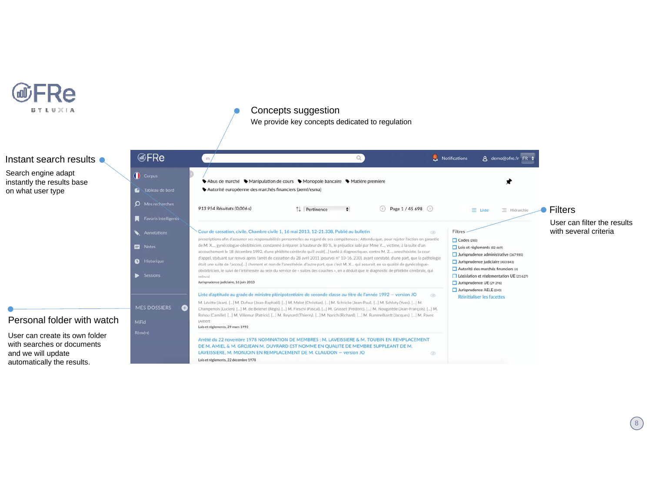

#### Concepts suggestion

We provide key concepts dedicated to regulation

#### FRe Notifications 8 demo@ofre.fr FR # Instant search results  $\bullet$ m/  $\Omega$ Search engine adapt Corpus instantly the results base ♦ Abus de marché ♦ Manipulation de cours • Monopole bancaire • Matière première Tableau de bord Autorité européenne des marchés financiers (aemf/esma) on what user type**Q** Mes recherches 913 954 Résultats (0,006 s) ◯ Page 1 / 45 698 ◯ ↑↓ Pertinence  $\bullet$  $\equiv$  Liste  $\equiv$  Hiérarchie ● Filters **Favoris intelligent** User can filter the results with several criteriaCour de cassation, civile, Chambre civile 1, 16 mai 2013, 12-21.338, Publié au bulletin Filtres  $\circ$ prescriptions afin d'assumer ses responsabilités personnelles au regard de ses compétences ; Attendu que, pour rejeter l'action en garantie  $\Box$  Codes (283) de M. X..., gynécologue-obstétricien, condamné à réparer, à hauteur de 80 %, le préjudice subi par Mme Y..., victime, à la suite d'un Notes  $\Box$  Lois et règlements (82 669) accouchement le 18 décembre 1992, d'une phlébite cérébrale qu'il avait[...] tardé à diagnostiquer, contre M. Z..., anesthésiste, la cour Jurisprudence administrative (367 985) d'appel, statuant sur renvoi après l'arrêt de cassation du 28 avril 2011 (pourvoi nº 10-16. 230), ayant constaté, d'une part, que la pathologie **O** Historiau Jurisprudence judiciaire (403 843) était une suite de l'accou[...] chement et non de l'anesthésie, d'autre part, que c'est M. X... qui assurait, en sa qualité de gynécologue-Autorité des marchés financiers (4) obstétricien, le suivi de l'intéressée au sein du service de « suites des couches », en a déduit que le diagnostic de phlébite cérébrale, qui Session Législation et réglementation UE (21 627) rolovai Jurisprudence judiciaire, 16 juin 2013  $\Box$  Jurisprudence UE (29 296) Jurisprudence AELE (240) Liste d'aptitude au grade de ministre plénipotentiaire de seconde classe au titre de l'année 1992 - version JO  $\circ$ **Réinitialiser les facettes** M. Lévitte (Jean), [...] M. Dufour (Jean-Raphaël), [...] M. Melot (Christian), [...] M. Schricke (Jean-Paul), [...] M. Schluty (Yves), [...] M. **MES DOSSIERS** Q Champenois (Lucien). [...] M. de Belenet (Régis). [...] M. Fieschi (Pascal). [...] M. Grasset (Frédéric). [...] M. Nougarède (Jean-François). [...] M. Rohou (Camille). [...] M. Villemur (Patrick). [...] M. Reynard (Thierry). [...] M. Narich (Richard). [...] M. Rummelhardt (Jacques). [...] M. Pavec Personal folder with watchMiFid (Albert) Lois et règlements, 29 mars 1992 User can create its own folder Arrêté du 22 novembre 1978 NOMINATION DE MEMBRES : M. LAVEISSIERE & M. TOUBIN EN REMPLACEMENT with searches or documents DE M. AMIEL & M. GROJEAN M. OUVRARD EST NOMME EN QUALITE DE MEMBRE SUPPLEANT DE M. and we will update LAVEISSIERE, M. MONJOIN EN REMPLACEMENT DE M. CLAUDON - version JO ä Lois et règlements, 22 décembre 1978 automatically the results.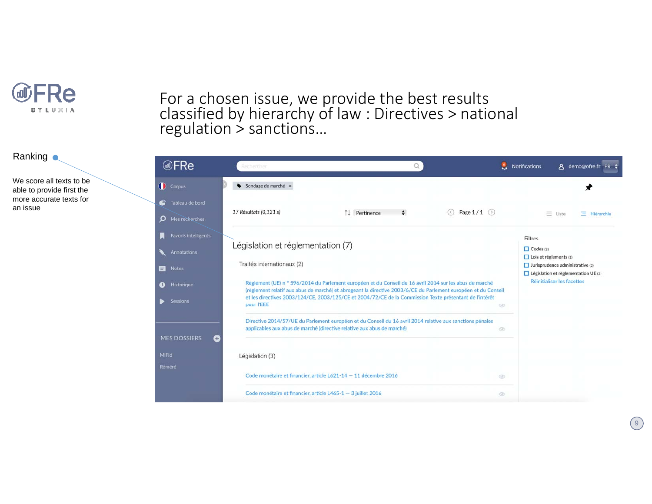

Ranking **o** 

We score all texts to be able to provide first the more accurate texts for an issue

### For a chosen issue, we provide the best results<br>classified by hierarchy of law : Directives > nati classified by hierarchy of law : Directives > national<br>regulation > sanctions…

| <b></b> ⊮FRe                                 | 9<br>Rechercher                                                                                                                                                                                                                                                                                                                                                      | Notifications<br>A demo@ofre.fr FR $\div$                                                                                                                                            |
|----------------------------------------------|----------------------------------------------------------------------------------------------------------------------------------------------------------------------------------------------------------------------------------------------------------------------------------------------------------------------------------------------------------------------|--------------------------------------------------------------------------------------------------------------------------------------------------------------------------------------|
| Corpus                                       | Sondage de marché x<br>۰                                                                                                                                                                                                                                                                                                                                             |                                                                                                                                                                                      |
| Tableau de bord<br>O Mes recherches          | 17 Résultats (0,121 s)<br>Page $1/1$ $($<br>Pertinence<br>$\div$<br>$(\langle \rangle)$                                                                                                                                                                                                                                                                              | $\equiv$ Liste<br>$\equiv$ Hierarchie                                                                                                                                                |
| Favoris intelligents<br>Annotations<br>Notes | Législation et réglementation (7)<br>Traités internationaux (2)                                                                                                                                                                                                                                                                                                      | Filtres<br>$\Box$ Codes (3)<br>$\Box$ Lois et règlements (1)<br>$\Box$ Jurisprudence administrative (3)<br>$\Box$ Législation et réglementation UE (2)<br>Réinitialiser les facettes |
| Historique<br><b>Sessions</b>                | Règlement (UE) n ° 596/2014 du Parlement européen et du Conseil du 16 avril 2014 sur les abus de marché<br>(règlement relatif aux abus de marché) et abrogeant la directive 2003/6/CE du Parlement européen et du Conseil<br>et les directives 2003/124/CE, 2003/125/CE et 2004/72/CE de la Commission Texte présentant de l'intérêt<br>pour l'EEE<br>$\circledcirc$ |                                                                                                                                                                                      |
| <b>MES DOSSIERS</b><br>O                     | Directive 2014/57/UE du Parlement européen et du Conseil du 16 avril 2014 relative aux sanctions pénales<br>applicables aux abus de marché (directive relative aux abus de marché)<br>$^{\circ}$                                                                                                                                                                     |                                                                                                                                                                                      |
| viFid<br>téméré                              | Législation (3)                                                                                                                                                                                                                                                                                                                                                      |                                                                                                                                                                                      |
|                                              | Code monétaire et financier, article L621-14 - 11 décembre 2016<br>$\circledcirc$                                                                                                                                                                                                                                                                                    |                                                                                                                                                                                      |
|                                              | Code monétaire et financier, article L465-1 - 3 juillet 2016<br>$\circledcirc$                                                                                                                                                                                                                                                                                       |                                                                                                                                                                                      |